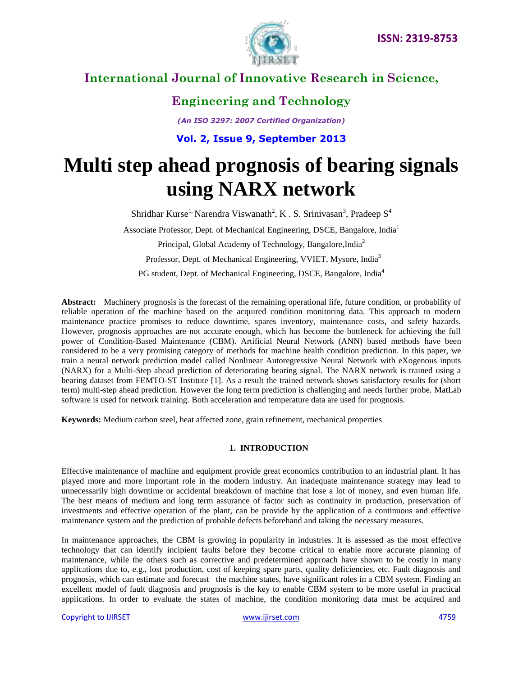

### **Engineering and Technology**

*(An ISO 3297: 2007 Certified Organization)*

**Vol. 2, Issue 9, September 2013**

# **Multi step ahead prognosis of bearing signals using NARX network**

Shridhar Kurse<sup>1,</sup> Narendra Viswanath<sup>2</sup>, K. S. Srinivasan<sup>3</sup>, Pradeep S<sup>4</sup>

Associate Professor, Dept. of Mechanical Engineering, DSCE, Bangalore, India<sup>1</sup>

Principal, Global Academy of Technology, Bangalore, India<sup>2</sup>

Professor, Dept. of Mechanical Engineering, VVIET, Mysore, India<sup>3</sup>

PG student, Dept. of Mechanical Engineering, DSCE, Bangalore, India<sup>4</sup>

**Abstract:** Machinery prognosis is the forecast of the remaining operational life, future condition, or probability of reliable operation of the machine based on the acquired condition monitoring data. This approach to modern maintenance practice promises to reduce downtime, spares inventory, maintenance costs, and safety hazards. However, prognosis approaches are not accurate enough, which has become the bottleneck for achieving the full power of Condition-Based Maintenance (CBM). Artificial Neural Network (ANN) based methods have been considered to be a very promising category of methods for machine health condition prediction. In this paper, we train a neural network prediction model called Nonlinear Autoregressive Neural Network with eXogenous inputs (NARX) for a Multi-Step ahead prediction of deteriorating bearing signal. The NARX network is trained using a bearing dataset from FEMTO-ST Institute [1]. As a result the trained network shows satisfactory results for (short term) multi-step ahead prediction. However the long term prediction is challenging and needs further probe. MatLab software is used for network training. Both acceleration and temperature data are used for prognosis.

**Keywords:** Medium carbon steel, heat affected zone, grain refinement, mechanical properties

#### **1. INTRODUCTION**

Effective maintenance of machine and equipment provide great economics contribution to an industrial plant. It has played more and more important role in the modern industry. An inadequate maintenance strategy may lead to unnecessarily high downtime or accidental breakdown of machine that lose a lot of money, and even human life. The best means of medium and long term assurance of factor such as continuity in production, preservation of investments and effective operation of the plant, can be provide by the application of a continuous and effective maintenance system and the prediction of probable defects beforehand and taking the necessary measures.

In maintenance approaches, the CBM is growing in popularity in industries. It is assessed as the most effective technology that can identify incipient faults before they become critical to enable more accurate planning of maintenance, while the others such as corrective and predetermined approach have shown to be costly in many applications due to, e.g., lost production, cost of keeping spare parts, quality deficiencies, etc. Fault diagnosis and prognosis, which can estimate and forecast the machine states, have significant roles in a CBM system. Finding an excellent model of fault diagnosis and prognosis is the key to enable CBM system to be more useful in practical applications. In order to evaluate the states of machine, the condition monitoring data must be acquired and

Copyright to IJIRSET [www.ijirset.com](http://www.ijirset.com/) 4759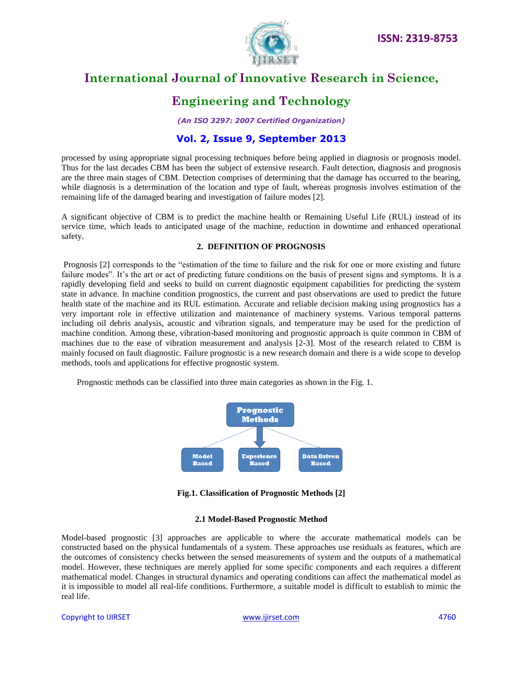

### **Engineering and Technology**

*(An ISO 3297: 2007 Certified Organization)*

#### **Vol. 2, Issue 9, September 2013**

processed by using appropriate signal processing techniques before being applied in diagnosis or prognosis model. Thus for the last decades CBM has been the subject of extensive research. Fault detection, diagnosis and prognosis are the three main stages of CBM. Detection comprises of determining that the damage has occurred to the bearing, while diagnosis is a determination of the location and type of fault, whereas prognosis involves estimation of the remaining life of the damaged bearing and investigation of failure modes [2].

A significant objective of CBM is to predict the machine health or Remaining Useful Life (RUL) instead of its service time, which leads to anticipated usage of the machine, reduction in downtime and enhanced operational safety.

#### **2. DEFINITION OF PROGNOSIS**

Prognosis [2] corresponds to the "estimation of the time to failure and the risk for one or more existing and future failure modes". It's the art or act of predicting future conditions on the basis of present signs and symptoms. It is a rapidly developing field and seeks to build on current diagnostic equipment capabilities for predicting the system state in advance. In machine condition prognostics, the current and past observations are used to predict the future health state of the machine and its RUL estimation. Accurate and reliable decision making using prognostics has a very important role in effective utilization and maintenance of machinery systems. Various temporal patterns including oil debris analysis, acoustic and vibration signals, and temperature may be used for the prediction of machine condition. Among these, vibration-based monitoring and prognostic approach is quite common in CBM of machines due to the ease of vibration measurement and analysis [2-3]. Most of the research related to CBM is mainly focused on fault diagnostic. Failure prognostic is a new research domain and there is a wide scope to develop methods, tools and applications for effective prognostic system.

Prognostic methods can be classified into three main categories as shown in the Fig. 1.



**Fig.1. Classification of Prognostic Methods [2]**

#### **2.1 Model-Based Prognostic Method**

Model-based prognostic [3] approaches are applicable to where the accurate mathematical models can be constructed based on the physical fundamentals of a system. These approaches use residuals as features, which are the outcomes of consistency checks between the sensed measurements of system and the outputs of a mathematical model. However, these techniques are merely applied for some specific components and each requires a different mathematical model. Changes in structural dynamics and operating conditions can affect the mathematical model as it is impossible to model all real-life conditions. Furthermore, a suitable model is difficult to establish to mimic the real life.

#### Copyright to IJIRSET [www.ijirset.com](http://www.ijirset.com/) 4760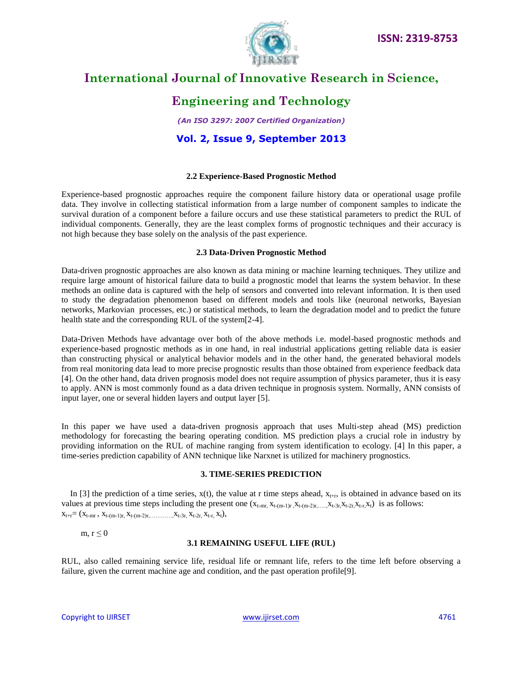

### **Engineering and Technology**

*(An ISO 3297: 2007 Certified Organization)*

#### **Vol. 2, Issue 9, September 2013**

#### **2.2 Experience-Based Prognostic Method**

Experience-based prognostic approaches require the component failure history data or operational usage profile data. They involve in collecting statistical information from a large number of component samples to indicate the survival duration of a component before a failure occurs and use these statistical parameters to predict the RUL of individual components. Generally, they are the least complex forms of prognostic techniques and their accuracy is not high because they base solely on the analysis of the past experience.

#### **2.3 Data-Driven Prognostic Method**

Data-driven prognostic approaches are also known as data mining or machine learning techniques. They utilize and require large amount of historical failure data to build a prognostic model that learns the system behavior. In these methods an online data is captured with the help of sensors and converted into relevant information. It is then used to study the degradation phenomenon based on different models and tools like (neuronal networks, Bayesian networks, Markovian processes, etc.) or statistical methods, to learn the degradation model and to predict the future health state and the corresponding RUL of the system[2-4].

Data-Driven Methods have advantage over both of the above methods i.e. model-based prognostic methods and experience-based prognostic methods as in one hand, in real industrial applications getting reliable data is easier than constructing physical or analytical behavior models and in the other hand, the generated behavioral models from real monitoring data lead to more precise prognostic results than those obtained from experience feedback data [4]. On the other hand, data driven prognosis model does not require assumption of physics parameter, thus it is easy to apply. ANN is most commonly found as a data driven technique in prognosis system. Normally, ANN consists of input layer, one or several hidden layers and output layer [5].

In this paper we have used a data-driven prognosis approach that uses Multi-step ahead (MS) prediction methodology for forecasting the bearing operating condition. MS prediction plays a crucial role in industry by providing information on the RUL of machine ranging from system identification to ecology. [4] In this paper, a time-series prediction capability of ANN technique like Narxnet is utilized for machinery prognostics.

#### **3. TIME-SERIES PREDICTION**

In [3] the prediction of a time series,  $x(t)$ , the value at r time steps ahead,  $x_{t+r}$ , is obtained in advance based on its values at previous time steps including the present one  $(x_{t-m}$ ,  $x_{t-m-1}$  $x_{t-m-2}$ ,  $x_{t-3}$ ,  $x_{t-2}$ ,  $x_{t-x}$ ,  $x_{t}$ ) is as follows:  $X_{t+r}=(X_{t-mr}, X_{t-(m-1)r}, X_{t-(m-2)r}, \ldots, X_{t-3r}, X_{t-2r}, X_{t-r}, X_t),$ 

m,  $r \leq 0$ 

#### **3.1 REMAINING USEFUL LIFE (RUL)**

RUL, also called remaining service life, residual life or remnant life, refers to the time left before observing a failure, given the current machine age and condition, and the past operation profile[9].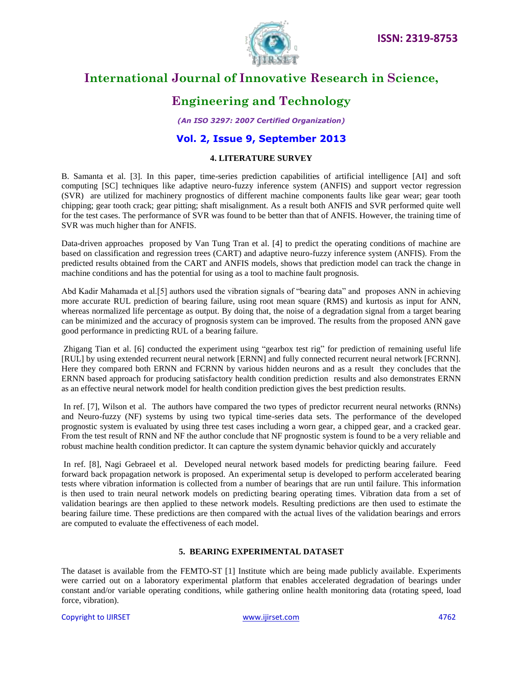

### **Engineering and Technology**

*(An ISO 3297: 2007 Certified Organization)*

#### **Vol. 2, Issue 9, September 2013**

#### **4. LITERATURE SURVEY**

B. Samanta et al. [3]. In this paper, time-series prediction capabilities of artificial intelligence [AI] and soft computing [SC] techniques like adaptive neuro-fuzzy inference system (ANFIS) and support vector regression (SVR) are utilized for machinery prognostics of different machine components faults like gear wear; gear tooth chipping; gear tooth crack; gear pitting; shaft misalignment. As a result both ANFIS and SVR performed quite well for the test cases. The performance of SVR was found to be better than that of ANFIS. However, the training time of SVR was much higher than for ANFIS.

Data-driven approaches proposed by Van Tung Tran et al. [4] to predict the operating conditions of machine are based on classification and regression trees (CART) and adaptive neuro-fuzzy inference system (ANFIS). From the predicted results obtained from the CART and ANFIS models, shows that prediction model can track the change in machine conditions and has the potential for using as a tool to machine fault prognosis.

Abd Kadir Mahamada et al.[5] authors used the vibration signals of "bearing data" and proposes ANN in achieving more accurate RUL prediction of bearing failure, using root mean square (RMS) and kurtosis as input for ANN, whereas normalized life percentage as output. By doing that, the noise of a degradation signal from a target bearing can be minimized and the accuracy of prognosis system can be improved. The results from the proposed ANN gave good performance in predicting RUL of a bearing failure.

Zhigang Tian et al. [6] conducted the experiment using "gearbox test rig" for prediction of remaining useful life [RUL] by using extended recurrent neural network [ERNN] and fully connected recurrent neural network [FCRNN]. Here they compared both ERNN and FCRNN by various hidden neurons and as a result they concludes that the ERNN based approach for producing satisfactory health condition prediction results and also demonstrates ERNN as an effective neural network model for health condition prediction gives the best prediction results.

In ref. [7], Wilson et al. The authors have compared the two types of predictor recurrent neural networks (RNNs) and Neuro-fuzzy (NF) systems by using two typical time-series data sets. The performance of the developed prognostic system is evaluated by using three test cases including a worn gear, a chipped gear, and a cracked gear. From the test result of RNN and NF the author conclude that NF prognostic system is found to be a very reliable and robust machine health condition predictor. It can capture the system dynamic behavior quickly and accurately

In ref. [8], Nagi Gebraeel et al. Developed neural network based models for predicting bearing failure. Feed forward back propagation network is proposed. An experimental setup is developed to perform accelerated bearing tests where vibration information is collected from a number of bearings that are run until failure. This information is then used to train neural network models on predicting bearing operating times. Vibration data from a set of validation bearings are then applied to these network models. Resulting predictions are then used to estimate the bearing failure time. These predictions are then compared with the actual lives of the validation bearings and errors are computed to evaluate the effectiveness of each model.

#### **5. BEARING EXPERIMENTAL DATASET**

The dataset is available from the FEMTO-ST [1] Institute which are being made publicly available. Experiments were carried out on a laboratory experimental platform that enables accelerated degradation of bearings under constant and/or variable operating conditions, while gathering online health monitoring data (rotating speed, load force, vibration).

Copyright to IJIRSET [www.ijirset.com](http://www.ijirset.com/) 4762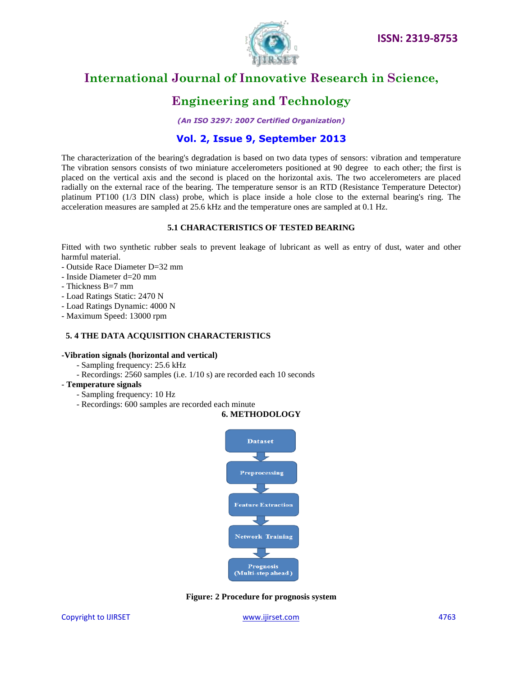

## **Engineering and Technology**

*(An ISO 3297: 2007 Certified Organization)*

### **Vol. 2, Issue 9, September 2013**

The characterization of the bearing's degradation is based on two data types of sensors: vibration and temperature The vibration sensors consists of two miniature accelerometers positioned at 90 degree to each other; the first is placed on the vertical axis and the second is placed on the horizontal axis. The two accelerometers are placed radially on the external race of the bearing. The temperature sensor is an RTD (Resistance Temperature Detector) platinum PT100 (1/3 DIN class) probe, which is place inside a hole close to the external bearing's ring. The acceleration measures are sampled at 25.6 kHz and the temperature ones are sampled at 0.1 Hz.

#### **5.1 CHARACTERISTICS OF TESTED BEARING**

Fitted with two synthetic rubber seals to prevent leakage of lubricant as well as entry of dust, water and other harmful material.

- Outside Race Diameter D=32 mm
- Inside Diameter d=20 mm
- Thickness B=7 mm
- Load Ratings Static: 2470 N
- Load Ratings Dynamic: 4000 N
- Maximum Speed: 13000 rpm

#### **5. 4 THE DATA ACQUISITION CHARACTERISTICS**

#### **-Vibration signals (horizontal and vertical)**

- Sampling frequency: 25.6 kHz
- Recordings: 2560 samples (i.e. 1/10 s) are recorded each 10 seconds
- **Temperature signals**
	- Sampling frequency: 10 Hz
	- Recordings: 600 samples are recorded each minute

#### **6. METHODOLOGY**



**Figure: 2 Procedure for prognosis system**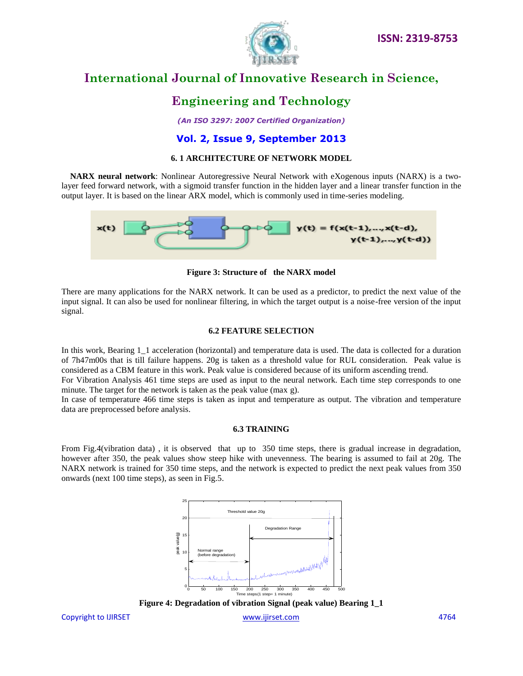

### **Engineering and Technology**

*(An ISO 3297: 2007 Certified Organization)*

#### **Vol. 2, Issue 9, September 2013**

#### **6. 1 ARCHITECTURE OF NETWORK MODEL**

 **NARX neural network**: Nonlinear Autoregressive Neural Network with eXogenous inputs (NARX) is a twolayer feed forward network, with a sigmoid transfer function in the hidden layer and a linear transfer function in the output layer. It is based on the linear ARX model, which is commonly used in time-series modeling.



**Figure 3: Structure of the NARX model**

There are many applications for the NARX network. It can be used as a predictor, to predict the next value of the input signal. It can also be used for nonlinear filtering, in which the target output is a noise-free version of the input signal.

#### **6.2 FEATURE SELECTION**

In this work, Bearing 1\_1 acceleration (horizontal) and temperature data is used. The data is collected for a duration of 7h47m00s that is till failure happens. 20g is taken as a threshold value for RUL consideration. Peak value is considered as a CBM feature in this work. Peak value is considered because of its uniform ascending trend.

For Vibration Analysis 461 time steps are used as input to the neural network. Each time step corresponds to one minute. The target for the network is taken as the peak value (max g).

In case of temperature 466 time steps is taken as input and temperature as output. The vibration and temperature data are preprocessed before analysis.

#### **6.3 TRAINING**

From Fig.4(vibration data) , it is observed that up to 350 time steps, there is gradual increase in degradation, however after 350, the peak values show steep hike with unevenness. The bearing is assumed to fail at 20g. The NARX network is trained for 350 time steps, and the network is expected to predict the next peak values from 350 onwards (next 100 time steps), as seen in Fig.5.





Copyright to IJIRSET [www.ijirset.com](http://www.ijirset.com/) 4764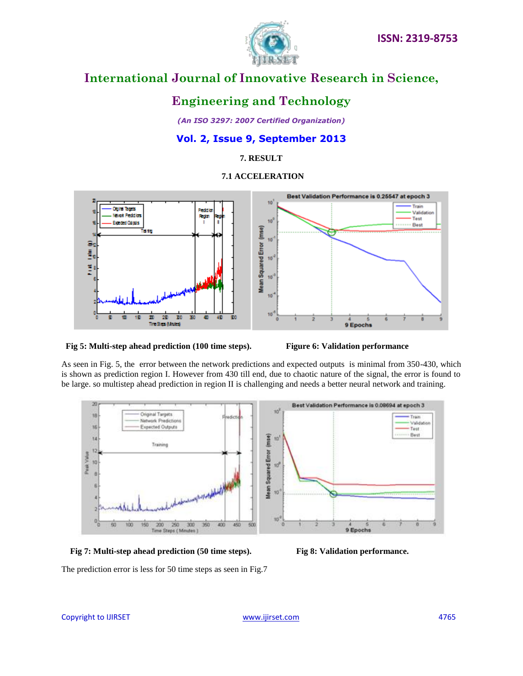



### **Engineering and Technology**

*(An ISO 3297: 2007 Certified Organization)*

#### **Vol. 2, Issue 9, September 2013**

**7. RESULT**

 **7.1 ACCELERATION**



 **Fig 5: Multi-step ahead prediction (100 time steps). Figure 6: Validation performance**

As seen in Fig. 5, the error between the network predictions and expected outputs is minimal from 350-430, which is shown as prediction region I. However from 430 till end, due to chaotic nature of the signal, the error is found to be large. so multistep ahead prediction in region II is challenging and needs a better neural network and training.



 **Fig 7: Multi-step ahead prediction (50 time steps). Fig 8: Validation performance.**

The prediction error is less for 50 time steps as seen in Fig.7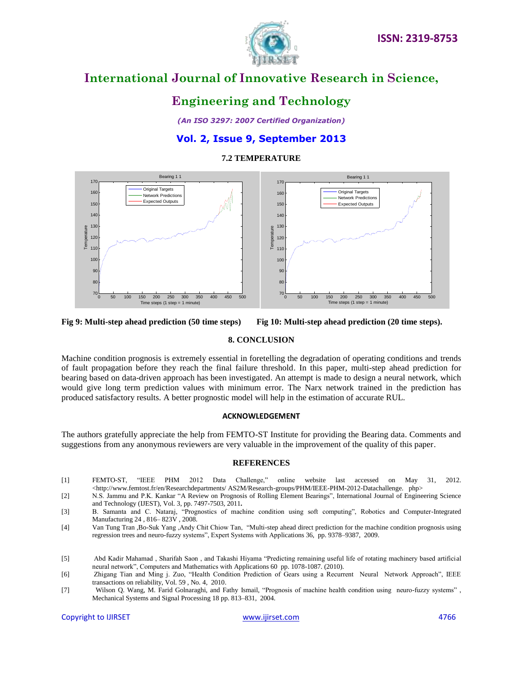

### **Engineering and Technology**

*(An ISO 3297: 2007 Certified Organization)*

#### **Vol. 2, Issue 9, September 2013**

#### **7.2 TEMPERATURE**



**Fig 9: Multi-step ahead prediction (50 time steps) Fig 10: Multi-step ahead prediction (20 time steps).**

#### **8. CONCLUSION**

Machine condition prognosis is extremely essential in foretelling the degradation of operating conditions and trends of fault propagation before they reach the final failure threshold. In this paper, multi-step ahead prediction for bearing based on data-driven approach has been investigated. An attempt is made to design a neural network, which would give long term prediction values with minimum error. The Narx network trained in the prediction has produced satisfactory results. A better prognostic model will help in the estimation of accurate RUL.

#### **ACKNOWLEDGEMENT**

The authors gratefully appreciate the help from FEMTO-ST Institute for providing the Bearing data. Comments and suggestions from any anonymous reviewers are very valuable in the improvement of the quality of this paper.

#### **REFERENCES**

- [1] FEMTO-ST, "IEEE PHM 2012 Data Challenge," online website last accessed on May 31, 2012. <http://www.femtost.fr/en/Researchdepartments/ AS2M/Research-groups/PHM/IEEE-PHM-2012-Datachallenge. php>
- [2] N.S. Jammu and P.K. Kankar "A Review on Prognosis of Rolling Element Bearings", International Journal of Engineering Science and Technology (IJEST), Vol. 3, pp. 7497-7503, 2011**.**
- [3] B. Samanta and C. Nataraj, "Prognostics of machine condition using soft computing", Robotics and Computer-Integrated Manufacturing 24 , 816– 823V , 2008.
- [4] Van Tung Tran ,Bo-Suk Yang ,Andy Chit Chiow Tan, "Multi-step ahead direct prediction for the machine condition prognosis using regression trees and neuro-fuzzy systems", Expert Systems with Applications 36, pp. 9378–9387, 2009.

[7] Wilson Q. Wang, M. Farid Golnaraghi, and Fathy Ismail, "Prognosis of machine health condition using neuro-fuzzy systems" , Mechanical Systems and Signal Processing 18 pp. 813–831, 2004.

<sup>[5]</sup> Abd Kadir Mahamad , Sharifah Saon , and Takashi Hiyama "Predicting remaining useful life of rotating machinery based artificial neural network", Computers and Mathematics with Applications 60 pp. 1078-1087. (2010).

<sup>[6]</sup> Zhigang Tian and Ming j. Zuo, "Health Condition Prediction of Gears using a Recurrent Neural Network Approach", IEEE transactions on reliability, Vol. 59 , No. 4, 2010.